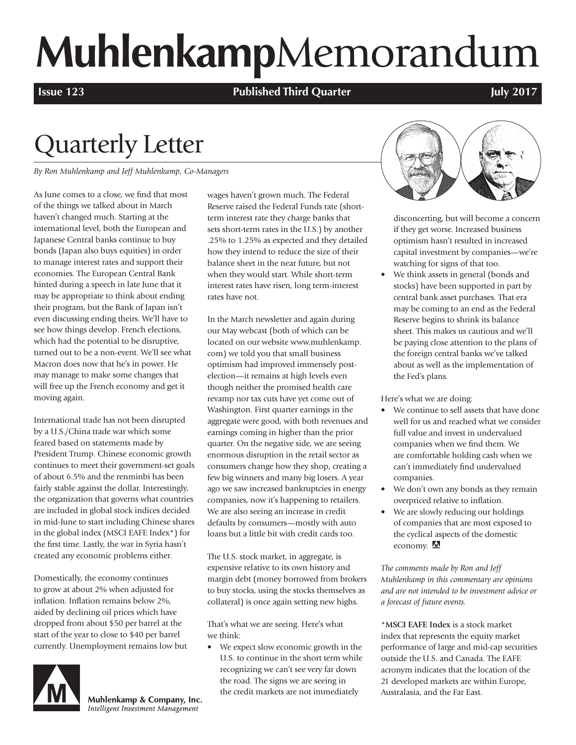# **Muhlenkamp**Memorandum

**Issue 123 Published Third Quarter July 2017** 

## Quarterly Letter

*By Ron Muhlenkamp and Jeff Muhlenkamp, Co-Managers*

As June comes to a close, we find that most of the things we talked about in March haven't changed much. Starting at the international level, both the European and Japanese Central banks continue to buy bonds (Japan also buys equities) in order to manage interest rates and support their economies. The European Central Bank hinted during a speech in late June that it may be appropriate to think about ending their program, but the Bank of Japan isn't even discussing ending theirs. We'll have to see how things develop. French elections, which had the potential to be disruptive, turned out to be a non-event. We'll see what Macron does now that he's in power. He may manage to make some changes that will free up the French economy and get it moving again.

International trade has not been disrupted by a U.S./China trade war which some feared based on statements made by President Trump. Chinese economic growth continues to meet their government-set goals of about 6.5% and the renminbi has been fairly stable against the dollar. Interestingly, the organization that governs what countries are included in global stock indices decided in mid-June to start including Chinese shares in the global index (MSCI EAFE Index\*) for the first time. Lastly, the war in Syria hasn't created any economic problems either.

Domestically, the economy continues to grow at about 2% when adjusted for inflation. Inflation remains below 2%, aided by declining oil prices which have dropped from about \$50 per barrel at the start of the year to close to \$40 per barrel currently. Unemployment remains low but



Muhlenkamp & Company, Inc. Intelligent Investment Management

wages haven't grown much. The Federal Reserve raised the Federal Funds rate (shortterm interest rate they charge banks that sets short-term rates in the U.S.) by another .25% to 1.25% as expected and they detailed how they intend to reduce the size of their balance sheet in the near future, but not when they would start. While short-term interest rates have risen, long term-interest rates have not.

In the March newsletter and again during our May webcast (both of which can be located on our website www.muhlenkamp. com) we told you that small business optimism had improved immensely postelection—it remains at high levels even though neither the promised health care revamp nor tax cuts have yet come out of Washington. First quarter earnings in the aggregate were good, with both revenues and earnings coming in higher than the prior quarter. On the negative side, we are seeing enormous disruption in the retail sector as consumers change how they shop, creating a few big winners and many big losers. A year ago we saw increased bankruptcies in energy companies, now it's happening to retailers. We are also seeing an increase in credit defaults by consumers—mostly with auto loans but a little bit with credit cards too.

The U.S. stock market, in aggregate, is expensive relative to its own history and margin debt (money borrowed from brokers to buy stocks, using the stocks themselves as collateral) is once again setting new highs.

That's what we are seeing. Here's what we think:

• We expect slow economic growth in the U.S. to continue in the short term while recognizing we can't see very far down the road. The signs we are seeing in the credit markets are not immediately



disconcerting, but will become a concern if they get worse. Increased business optimism hasn't resulted in increased capital investment by companies—we're watching for signs of that too.

• We think assets in general (bonds and stocks) have been supported in part by central bank asset purchases. That era may be coming to an end as the Federal Reserve begins to shrink its balance sheet. This makes us cautious and we'll be paying close attention to the plans of the foreign central banks we've talked about as well as the implementation of the Fed's plans.

Here's what we are doing:

- We continue to sell assets that have done well for us and reached what we consider full value and invest in undervalued companies when we find them. We are comfortable holding cash when we can't immediately find undervalued companies.
- We don't own any bonds as they remain overpriced relative to inflation.
- We are slowly reducing our holdings of companies that are most exposed to the cyclical aspects of the domestic economy.

*The comments made by Ron and Jeff Muhlenkamp in this commentary are opinions and are not intended to be investment advice or a forecast of future events.*

\***MSCI EAFE Index** is a stock market index that represents the equity market performance of large and mid-cap securities outside the U.S. and Canada. The EAFE acronym indicates that the location of the 21 developed markets are within Europe, Australasia, and the Far East.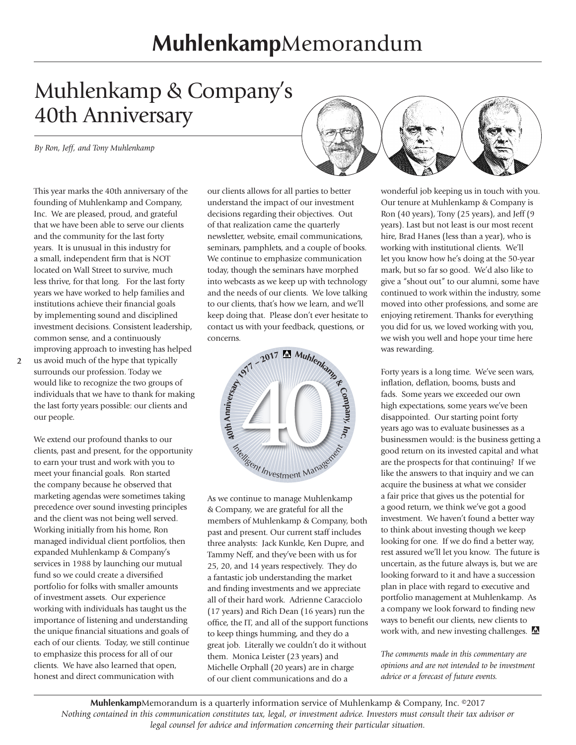## **Muhlenkamp**Memorandum

## Muhlenkamp & Company's 40th Anniversary

*By Ron, Jeff, and Tony Muhlenkamp* 

This year marks the 40th anniversary of the founding of Muhlenkamp and Company, Inc. We are pleased, proud, and grateful that we have been able to serve our clients and the community for the last forty years. It is unusual in this industry for a small, independent firm that is NOT located on Wall Street to survive, much less thrive, for that long. For the last forty years we have worked to help families and institutions achieve their financial goals by implementing sound and disciplined investment decisions. Consistent leadership, common sense, and a continuously improving approach to investing has helped

**2**

us avoid much of the hype that typically surrounds our profession. Today we would like to recognize the two groups of individuals that we have to thank for making the last forty years possible: our clients and our people.

We extend our profound thanks to our clients, past and present, for the opportunity to earn your trust and work with you to meet your financial goals. Ron started the company because he observed that marketing agendas were sometimes taking precedence over sound investing principles and the client was not being well served. Working initially from his home, Ron managed individual client portfolios, then expanded Muhlenkamp & Company's services in 1988 by launching our mutual fund so we could create a diversified portfolio for folks with smaller amounts of investment assets. Our experience working with individuals has taught us the importance of listening and understanding the unique financial situations and goals of each of our clients. Today, we still continue to emphasize this process for all of our clients. We have also learned that open, honest and direct communication with

our clients allows for all parties to better understand the impact of our investment decisions regarding their objectives. Out of that realization came the quarterly newsletter, website, email communications, seminars, pamphlets, and a couple of books. We continue to emphasize communication today, though the seminars have morphed into webcasts as we keep up with technology and the needs of our clients. We love talking to our clients, that's how we learn, and we'll keep doing that. Please don't ever hesitate to contact us with your feedback, questions, or concerns.



As we continue to manage Muhlenkamp & Company, we are grateful for all the members of Muhlenkamp & Company, both past and present. Our current staff includes three analysts: Jack Kunkle, Ken Dupre, and Tammy Neff, and they've been with us for 25, 20, and 14 years respectively. They do a fantastic job understanding the market and finding investments and we appreciate all of their hard work. Adrienne Caracciolo (17 years) and Rich Dean (16 years) run the office, the IT, and all of the support functions to keep things humming, and they do a great job. Literally we couldn't do it without them. Monica Leister (23 years) and Michelle Orphall (20 years) are in charge of our client communications and do a



wonderful job keeping us in touch with you. Our tenure at Muhlenkamp & Company is Ron (40 years), Tony (25 years), and Jeff (9 years). Last but not least is our most recent hire, Brad Hanes (less than a year), who is working with institutional clients. We'll let you know how he's doing at the 50-year mark, but so far so good. We'd also like to give a "shout out" to our alumni, some have continued to work within the industry, some moved into other professions, and some are enjoying retirement. Thanks for everything you did for us, we loved working with you, we wish you well and hope your time here was rewarding.

Forty years is a long time. We've seen wars, inflation, deflation, booms, busts and fads. Some years we exceeded our own high expectations, some years we've been disappointed. Our starting point forty years ago was to evaluate businesses as a businessmen would: is the business getting a good return on its invested capital and what are the prospects for that continuing? If we like the answers to that inquiry and we can acquire the business at what we consider a fair price that gives us the potential for a good return, we think we've got a good investment. We haven't found a better way to think about investing though we keep looking for one. If we do find a better way, rest assured we'll let you know. The future is uncertain, as the future always is, but we are looking forward to it and have a succession plan in place with regard to executive and portfolio management at Muhlenkamp. As a company we look forward to finding new ways to benefit our clients, new clients to work with, and new investing challenges.

*The comments made in this commentary are opinions and are not intended to be investment advice or a forecast of future events.*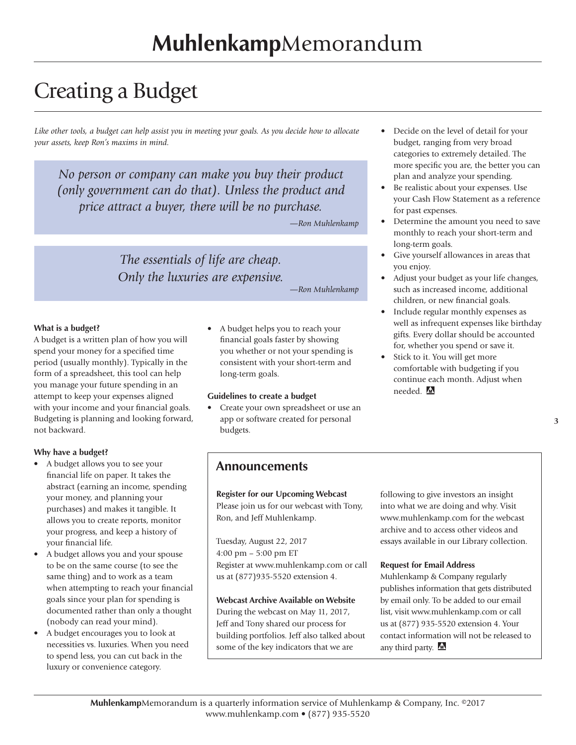## Creating a Budget

*Like other tools, a budget can help assist you in meeting your goals. As you decide how to allocate your assets, keep Ron's maxims in mind.*

*No person or company can make you buy their product (only government can do that). Unless the product and price attract a buyer, there will be no purchase.* 

*—Ron Muhlenkamp*

*The essentials of life are cheap. Only the luxuries are expensive.* 

*—Ron Muhlenkamp*

#### **What is a budget?**

A budget is a written plan of how you will spend your money for a specified time period (usually monthly). Typically in the form of a spreadsheet, this tool can help you manage your future spending in an attempt to keep your expenses aligned with your income and your financial goals. Budgeting is planning and looking forward, not backward.

#### **Why have a budget?**

- A budget allows you to see your financial life on paper. It takes the abstract (earning an income, spending your money, and planning your purchases) and makes it tangible. It allows you to create reports, monitor your progress, and keep a history of your financial life.
- A budget allows you and your spouse to be on the same course (to see the same thing) and to work as a team when attempting to reach your financial goals since your plan for spending is documented rather than only a thought (nobody can read your mind).
- A budget encourages you to look at necessities vs. luxuries. When you need to spend less, you can cut back in the luxury or convenience category.

• A budget helps you to reach your financial goals faster by showing you whether or not your spending is consistent with your short-term and long-term goals.

#### **Guidelines to create a budget**

• Create your own spreadsheet or use an app or software created for personal budgets.

- Decide on the level of detail for your budget, ranging from very broad categories to extremely detailed. The more specific you are, the better you can plan and analyze your spending.
- Be realistic about your expenses. Use your Cash Flow Statement as a reference for past expenses.
- Determine the amount you need to save monthly to reach your short-term and long-term goals.
- Give yourself allowances in areas that you enjoy.
- Adjust your budget as your life changes, such as increased income, additional children, or new financial goals.
- Include regular monthly expenses as well as infrequent expenses like birthday gifts. Every dollar should be accounted for, whether you spend or save it.
- Stick to it. You will get more comfortable with budgeting if you continue each month. Adjust when needed.

**3**

#### **Announcements**

**Register for our Upcoming Webcast**  Please join us for our webcast with Tony, Ron, and Jeff Muhlenkamp.

Tuesday, August 22, 2017 4:00 pm – 5:00 pm ET Register at www.muhlenkamp.com or call us at (877)935-5520 extension 4.

**Webcast Archive Available on Website** During the webcast on May 11, 2017, Jeff and Tony shared our process for building portfolios. Jeff also talked about some of the key indicators that we are

following to give investors an insight into what we are doing and why. Visit www.muhlenkamp.com for the webcast archive and to access other videos and essays available in our Library collection.

#### **Request for Email Address**

Muhlenkamp & Company regularly publishes information that gets distributed by email only. To be added to our email list, visit www.muhlenkamp.com or call us at (877) 935-5520 extension 4. Your contact information will not be released to any third party. M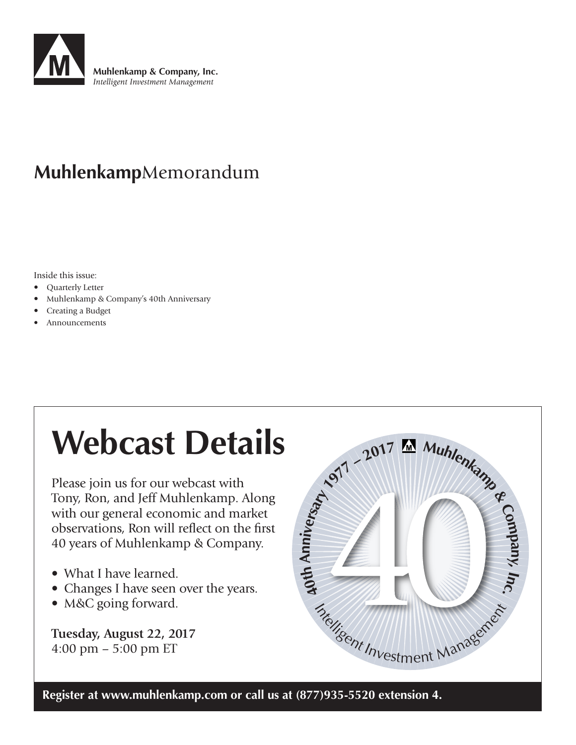

### **Muhlenkamp**Memorandum

Inside this issue:

- Quarterly Letter
- Muhlenkamp & Company's 40th Anniversary
- Creating a Budget
- Announcements

## **Webcast Details**

Please join us for our webcast with Tony, Ron, and Jeff Muhlenkamp. Along with our general economic and market observations, Ron will reflect on the first 40 years of Muhlenkamp & Company.

- What I have learned.
- Changes I have seen over the years.
- M&C going forward.

**Tuesday, August 22, 2017** 4:00 pm – 5:00 pm ET



**Register at www.muhlenkamp.com or call us at (877)935-5520 extension 4.**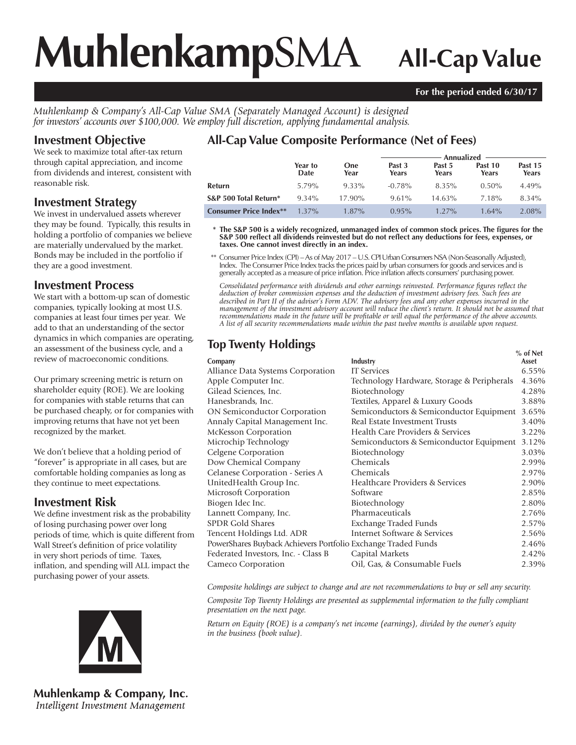# **Muhlenkamp**SMA **All-Cap Value**

#### **For the period ended 6/30/17**

*Muhlenkamp & Company's All-Cap Value SMA (Separately Managed Account) is designed for investors' accounts over \$100,000. We employ full discretion, applying fundamental analysis.*

#### **Investment Objective**

We seek to maximize total after-tax return through capital appreciation, and income from dividends and interest, consistent with reasonable risk.

#### **Investment Strategy**

We invest in undervalued assets wherever they may be found. Typically, this results in holding a portfolio of companies we believe are materially undervalued by the market. Bonds may be included in the portfolio if they are a good investment.

#### **Investment Process**

We start with a bottom-up scan of domestic companies, typically looking at most U.S. companies at least four times per year. We add to that an understanding of the sector dynamics in which companies are operating, an assessment of the business cycle, and a review of macroeconomic conditions.

Our primary screening metric is return on shareholder equity (ROE). We are looking for companies with stable returns that can be purchased cheaply, or for companies with improving returns that have not yet been recognized by the market.

We don't believe that a holding period of "forever" is appropriate in all cases, but are comfortable holding companies as long as they continue to meet expectations.

#### **Investment Risk**

We define investment risk as the probability of losing purchasing power over long periods of time, which is quite different from Wall Street's definition of price volatility in very short periods of time. Taxes, inflation, and spending will ALL impact the purchasing power of your assets.



**Muhlenkamp & Company, Inc.** Intelligent Investment Management

### **All-Cap Value Composite Performance (Net of Fees)**

|                               |                 |                    | - Annualized  ———— |                 |                  |                  |  |
|-------------------------------|-----------------|--------------------|--------------------|-----------------|------------------|------------------|--|
|                               | Year to<br>Date | <b>One</b><br>Year | Past 3<br>Years    | Past 5<br>Years | Past 10<br>Years | Past 15<br>Years |  |
| Refurn                        | 5.79%           | 9.33%              | $-0.78\%$          | 8.35%           | $0.50\%$         | $4.49\%$         |  |
| S&P 500 Total Return*         | $9.34\%$        | $17.90\%$          | $9.61\%$           | 14.63%          | 7.18%            | 8.34%            |  |
| <b>Consumer Price Index**</b> | $1.37\%$        | $1.87\%$           | $0.95\%$           | $1.27\%$        | $1.64\%$         | 2.08%            |  |

\* The S&P 500 is a widely recognized, unmanaged index of common stock prices. The figures for the S&P 500 reflect all dividends reinvested but do not reflect any deductions for fees, expenses, or **taxes. One cannot invest directly in an index.**

 \*\* Consumer Price Index (CPI) – As of May 2017 – U.S. CPI Urban Consumers NSA (Non-Seasonally Adjusted), Index. The Consumer Price Index tracks the prices paid by urban consumers for goods and services and is generally accepted as a measure of price infl ation. Price infl ation affects consumers' purchasing power.

Consolidated performance with dividends and other earnings reinvested. Performance figures reflect the *deduction of broker commission expenses and the deduction of investment advisory fees. Such fees are described in Part II of the adviser's Form ADV. The advisory fees and any other expenses incurred in the management of the investment advisory account will reduce the client's return. It should not be assumed that recommendations made in the future will be profi table or will equal the performance of the above accounts. A list of all security recommendations made within the past twelve months is available upon request.*

### **Top Twenty Holdings**

|                                                               |                                            | $%$ of Net |
|---------------------------------------------------------------|--------------------------------------------|------------|
| Company                                                       | Industry                                   | Asset      |
| Alliance Data Systems Corporation                             | <b>IT Services</b>                         | $6.55\%$   |
| Apple Computer Inc.                                           | Technology Hardware, Storage & Peripherals | 4.36%      |
| Gilead Sciences, Inc.                                         | Biotechnology                              | 4.28%      |
| Hanesbrands, Inc.                                             | Textiles, Apparel & Luxury Goods           | 3.88%      |
| <b>ON Semiconductor Corporation</b>                           | Semiconductors & Semiconductor Equipment   | 3.65%      |
| Annaly Capital Management Inc.                                | Real Estate Investment Trusts              | 3.40%      |
| <b>McKesson Corporation</b>                                   | Health Care Providers & Services           | 3.22%      |
| Microchip Technology                                          | Semiconductors & Semiconductor Equipment   | 3.12%      |
| Celgene Corporation                                           | Biotechnology                              | 3.03%      |
| Dow Chemical Company                                          | Chemicals                                  | 2.99%      |
| Celanese Corporation - Series A                               | Chemicals                                  | 2.97%      |
| UnitedHealth Group Inc.                                       | Healthcare Providers & Services            | 2.90%      |
| Microsoft Corporation                                         | Software                                   | 2.85%      |
| Biogen Idec Inc.                                              | Biotechnology                              | 2.80%      |
| Lannett Company, Inc.                                         | Pharmaceuticals                            | 2.76%      |
| <b>SPDR Gold Shares</b>                                       | Exchange Traded Funds                      | 2.57%      |
| Tencent Holdings Ltd. ADR                                     | Internet Software & Services               | 2.56%      |
| PowerShares Buyback Achievers Portfolio Exchange Traded Funds |                                            | 2.46%      |
| Federated Investors, Inc. - Class B                           | Capital Markets                            | 2.42%      |
| Cameco Corporation                                            | Oil, Gas, & Consumable Fuels               | 2.39%      |
|                                                               |                                            |            |

*Composite holdings are subject to change and are not recommendations to buy or sell any security.*

*Composite Top Twenty Holdings are presented as supplemental information to the fully compliant presentation on the next page.*

*Return on Equity (ROE) is a company's net income (earnings), divided by the owner's equity in the business (book value).*